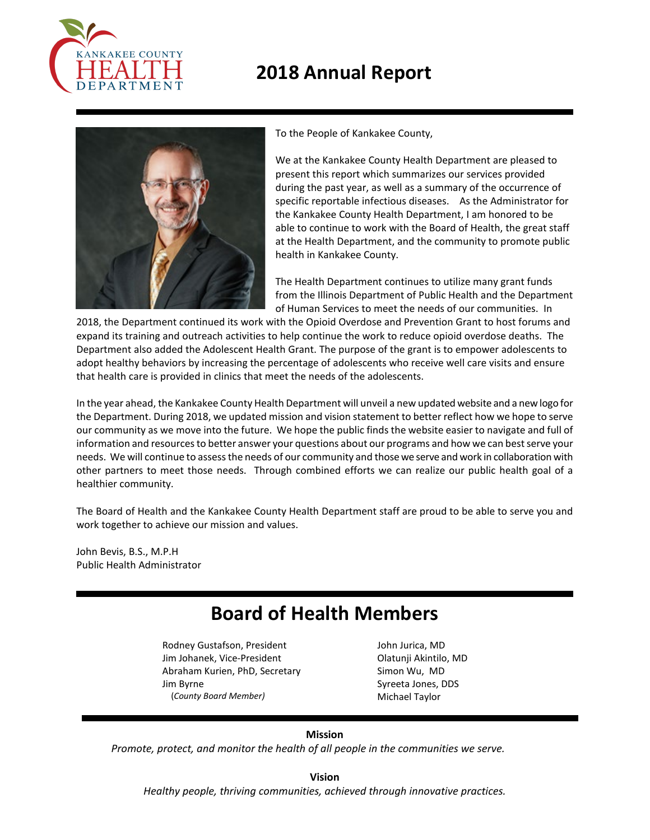

# **2018 Annual Report**



To the People of Kankakee County,

We at the Kankakee County Health Department are pleased to present this report which summarizes our services provided during the past year, as well as a summary of the occurrence of specific reportable infectious diseases. As the Administrator for the Kankakee County Health Department, I am honored to be able to continue to work with the Board of Health, the great staff at the Health Department, and the community to promote public health in Kankakee County.

The Health Department continues to utilize many grant funds from the Illinois Department of Public Health and the Department of Human Services to meet the needs of our communities. In

2018, the Department continued its work with the Opioid Overdose and Prevention Grant to host forums and expand its training and outreach activities to help continue the work to reduce opioid overdose deaths. The Department also added the Adolescent Health Grant. The purpose of the grant is to empower adolescents to adopt healthy behaviors by increasing the percentage of adolescents who receive well care visits and ensure that health care is provided in clinics that meet the needs of the adolescents.

In the year ahead, the Kankakee County Health Department will unveil a new updated website and a new logo for the Department. During 2018, we updated mission and vision statement to better reflect how we hope to serve our community as we move into the future. We hope the public finds the website easier to navigate and full of information and resources to better answer your questions about our programs and how we can best serve your needs. We will continue to assess the needs of our community and those we serve and work in collaboration with other partners to meet those needs. Through combined efforts we can realize our public health goal of a healthier community.

The Board of Health and the Kankakee County Health Department staff are proud to be able to serve you and work together to achieve our mission and values.

John Bevis, B.S., M.P.H Public Health Administrator

# **Board of Health Members**

Rodney Gustafson, President Jim Johanek, Vice-President Abraham Kurien, PhD, Secretary Jim Byrne (*County Board Member)*

 John Jurica, MD Olatunji Akintilo, MD Simon Wu, MD Syreeta Jones, DDS Michael Taylor

### **Mission**

*Promote, protect, and monitor the health of all people in the communities we serve.*

**Vision**

*Healthy people, thriving communities, achieved through innovative practices.*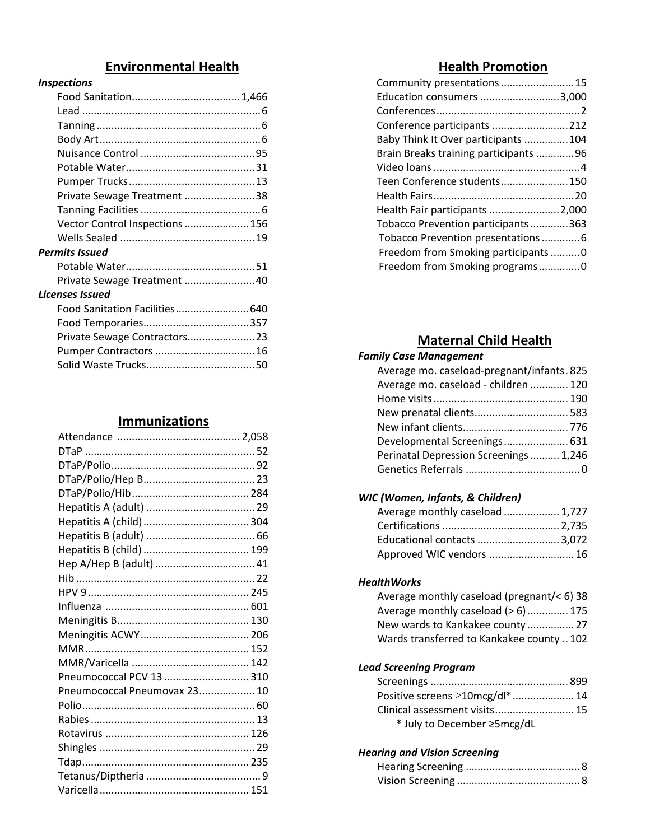## **Environmental Health**

#### *Inspections*

| Private Sewage Treatment 38     |  |
|---------------------------------|--|
|                                 |  |
| Vector Control Inspections  156 |  |
|                                 |  |
| <b>Permits Issued</b>           |  |
|                                 |  |
| Private Sewage Treatment  40    |  |
| Licenses Issued                 |  |
| Food Sanitation Facilities 640  |  |
|                                 |  |
| Private Sewage Contractors 23   |  |
| Pumper Contractors  16          |  |

## **Immunizations**

Solid Waste Trucks.....................................50

| Hep A/Hep B (adult)  41      |  |
|------------------------------|--|
|                              |  |
|                              |  |
|                              |  |
|                              |  |
|                              |  |
|                              |  |
|                              |  |
| Pneumococcal PCV 13  310     |  |
| Pneumococcal Pneumovax 23 10 |  |
|                              |  |
|                              |  |
|                              |  |
|                              |  |
|                              |  |
|                              |  |
|                              |  |

# **Health Promotion**

| Community presentations  15           |  |
|---------------------------------------|--|
| Education consumers 3,000             |  |
|                                       |  |
| Conference participants 212           |  |
| Baby Think It Over participants 104   |  |
| Brain Breaks training participants 96 |  |
|                                       |  |
| Teen Conference students150           |  |
|                                       |  |
| Health Fair participants 2,000        |  |
| Tobacco Prevention participants363    |  |
| Tobacco Prevention presentations6     |  |
| Freedom from Smoking participants0    |  |
| Freedom from Smoking programs0        |  |

# **Maternal Child Health**

## *Family Case Management*

| Average mo. caseload-pregnant/infants. 825 |  |
|--------------------------------------------|--|
| Average mo. caseload - children  120       |  |
|                                            |  |
| New prenatal clients 583                   |  |
|                                            |  |
| Developmental Screenings 631               |  |
| Perinatal Depression Screenings  1,246     |  |
|                                            |  |
|                                            |  |

## *WIC (Women, Infants, & Children)*

| Average monthly caseload  1,727 |  |
|---------------------------------|--|
|                                 |  |
| Educational contacts  3,072     |  |
| Approved WIC vendors  16        |  |

#### *HealthWorks*

| Average monthly caseload (pregnant/< 6) 38 |  |
|--------------------------------------------|--|
| Average monthly caseload $(> 6)$ 175       |  |
| New wards to Kankakee county 27            |  |
| Wards transferred to Kankakee county  102  |  |

### *Lead Screening Program*

| Positive screens ≥10mcg/dl* 14 |  |
|--------------------------------|--|
| Clinical assessment visits 15  |  |
| * July to December ≥5mcg/dL    |  |

### *Hearing and Vision Screening*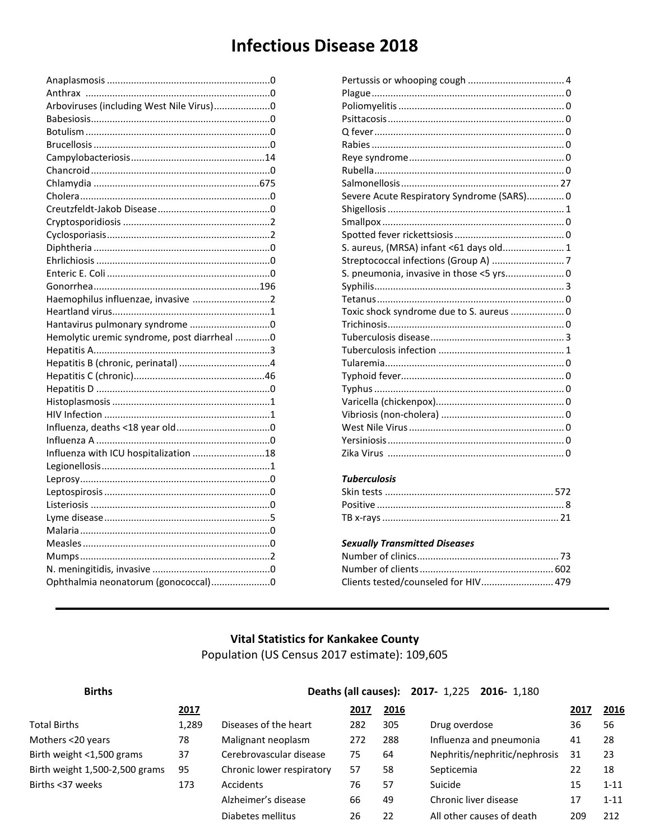# **Infectious Disease 2018**

| Arboviruses (including West Nile Virus)0    |  |
|---------------------------------------------|--|
|                                             |  |
|                                             |  |
|                                             |  |
|                                             |  |
|                                             |  |
|                                             |  |
|                                             |  |
|                                             |  |
|                                             |  |
|                                             |  |
|                                             |  |
|                                             |  |
|                                             |  |
|                                             |  |
|                                             |  |
|                                             |  |
|                                             |  |
| Hemolytic uremic syndrome, post diarrheal 0 |  |
|                                             |  |
|                                             |  |
|                                             |  |
|                                             |  |
|                                             |  |
|                                             |  |
|                                             |  |
|                                             |  |
| Influenza with ICU hospitalization 18       |  |
|                                             |  |
|                                             |  |
|                                             |  |
|                                             |  |
|                                             |  |
|                                             |  |
|                                             |  |
|                                             |  |
|                                             |  |
| Ophthalmia neonatorum (gonococcal)0         |  |
|                                             |  |

| Severe Acute Respiratory Syndrome (SARS) 0 |  |
|--------------------------------------------|--|
|                                            |  |
|                                            |  |
|                                            |  |
| S. aureus, (MRSA) infant <61 days old 1    |  |
|                                            |  |
| S. pneumonia, invasive in those <5 yrs 0   |  |
|                                            |  |
|                                            |  |
| Toxic shock syndrome due to S. aureus  0   |  |
|                                            |  |
|                                            |  |
|                                            |  |
|                                            |  |
|                                            |  |
|                                            |  |
|                                            |  |
|                                            |  |
|                                            |  |
|                                            |  |
|                                            |  |
|                                            |  |

## *Tuberculosis*

### *Sexually Transmitted Diseases*

| Clients tested/counseled for HIV 479 |  |
|--------------------------------------|--|

## **Vital Statistics for Kankakee County** Population (US Census 2017 estimate): 109,605

| <b>Births</b>                  |       |                           | Deaths (all causes): 2017- 1,225 2016- 1,180 |      |                               |      |          |
|--------------------------------|-------|---------------------------|----------------------------------------------|------|-------------------------------|------|----------|
|                                | 2017  |                           | 2017                                         | 2016 |                               | 2017 | 2016     |
| <b>Total Births</b>            | 1,289 | Diseases of the heart     | 282                                          | 305  | Drug overdose                 | 36   | 56       |
| Mothers <20 years              | 78    | Malignant neoplasm        | 272                                          | 288  | Influenza and pneumonia       | 41   | 28       |
| Birth weight <1,500 grams      | 37    | Cerebrovascular disease   | 75                                           | 64   | Nephritis/nephritic/nephrosis | 31   | 23       |
| Birth weight 1,500-2,500 grams | 95    | Chronic lower respiratory | 57                                           | 58   | Septicemia                    | 22   | 18       |
| Births <37 weeks               | 173   | <b>Accidents</b>          | 76                                           | 57   | Suicide                       | 15   | $1 - 11$ |
|                                |       | Alzheimer's disease       | 66                                           | 49   | Chronic liver disease         | 17   | $1 - 11$ |
|                                |       | Diabetes mellitus         | 26                                           | 22   | All other causes of death     | 209  | 212      |